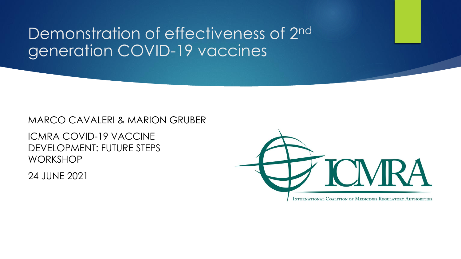## Demonstration of effectiveness of 2<sup>nd</sup> generation COVID-19 vaccines

#### MARCO CAVALERI & MARION GRUBER

ICMRA COVID-19 VACCINE DEVELOPMENT: FUTURE STEPS WORKSHOP

24 JUNE 2021

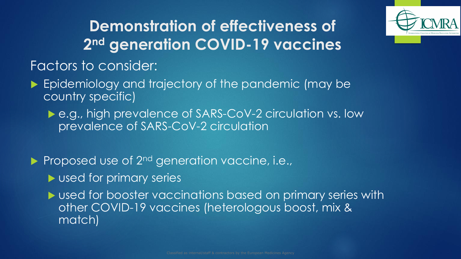

# **Demonstration of effectiveness of 2 nd generation COVID-19 vaccines**

#### Factors to consider:

- **Epidemiology and trajectory of the pandemic (may be** country specific)
	- ▶ e.g., high prevalence of SARS-CoV-2 circulation vs. low prevalence of SARS-CoV-2 circulation

Proposed use of 2<sup>nd</sup> generation vaccine, i.e.,

**Local for primary series** 

 used for booster vaccinations based on primary series with other COVID-19 vaccines (heterologous boost, mix & match)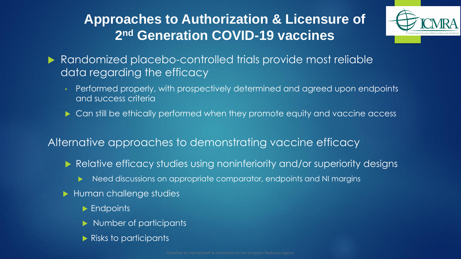### **Approaches to Authorization & Licensure of 2 nd Generation COVID-19 vaccines**



- **Randomized placebo-controlled trials provide most reliable** data regarding the efficacy
	- Performed properly, with prospectively determined and agreed upon endpoints and success criteria
	- ▶ Can still be ethically performed when they promote equity and vaccine access

#### Alternative approaches to demonstrating vaccine efficacy

- Relative efficacy studies using noninferiority and/or superiority designs
	- Need discussions on appropriate comparator, endpoints and NI margins
- ▶ Human challenge studies
	- **Endpoints**
	- Number of participants
	- **Risks to participants**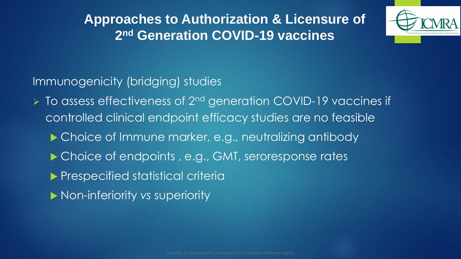**Approaches to Authorization & Licensure of 2 nd Generation COVID-19 vaccines**



Immunogenicity (bridging) studies

➢ To assess effectiveness of 2nd generation COVID-19 vaccines if controlled clinical endpoint efficacy studies are no feasible

▶ Choice of Immune marker, e.g., neutralizing antibody

▶ Choice of endpoints, e.g., GMT, seroresponse rates

**Prespecified statistical criterial** 

Non-inferiority *vs* superiority